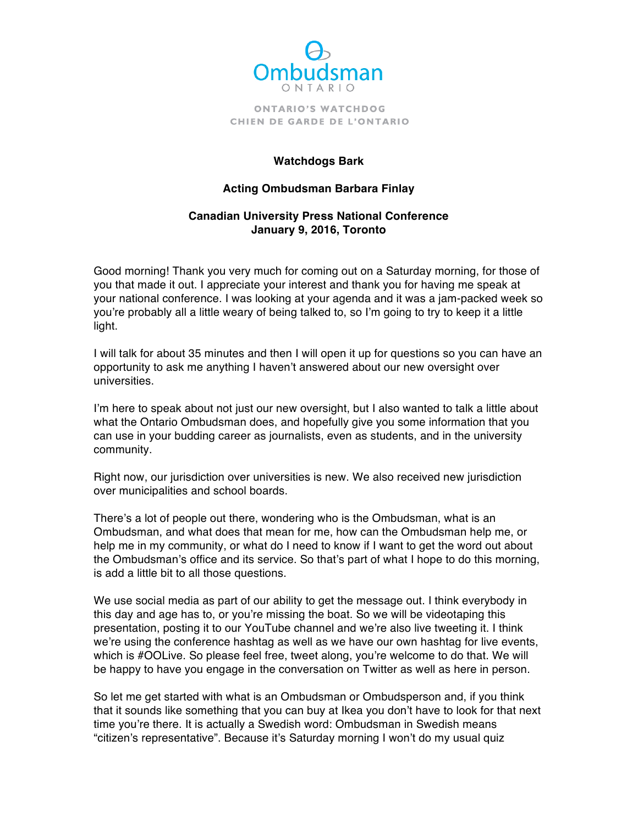

## **Watchdogs Bark**

## **Acting Ombudsman Barbara Finlay**

## **Canadian University Press National Conference January 9, 2016, Toronto**

 you that made it out. I appreciate your interest and thank you for having me speak at your national conference. I was looking at your agenda and it was a jam-packed week so you're probably all a little weary of being talked to, so I'm going to try to keep it a little Good morning! Thank you very much for coming out on a Saturday morning, for those of light.

 opportunity to ask me anything I haven't answered about our new oversight over I will talk for about 35 minutes and then I will open it up for questions so you can have an universities.

 I'm here to speak about not just our new oversight, but I also wanted to talk a little about what the Ontario Ombudsman does, and hopefully give you some information that you can use in your budding career as journalists, even as students, and in the university community.

 Right now, our jurisdiction over universities is new. We also received new jurisdiction over municipalities and school boards.

 There's a lot of people out there, wondering who is the Ombudsman, what is an Ombudsman, and what does that mean for me, how can the Ombudsman help me, or help me in my community, or what do I need to know if I want to get the word out about the Ombudsman's office and its service. So that's part of what I hope to do this morning, is add a little bit to all those questions.

 We use social media as part of our ability to get the message out. I think everybody in this day and age has to, or you're missing the boat. So we will be videotaping this presentation, posting it to our YouTube channel and we're also live tweeting it. I think we're using the conference hashtag as well as we have our own hashtag for live events, which is #OOLive. So please feel free, tweet along, you're welcome to do that. We will be happy to have you engage in the conversation on Twitter as well as here in person.

 So let me get started with what is an Ombudsman or Ombudsperson and, if you think that it sounds like something that you can buy at Ikea you don't have to look for that next time you're there. It is actually a Swedish word: Ombudsman in Swedish means "citizen's representative". Because it's Saturday morning I won't do my usual quiz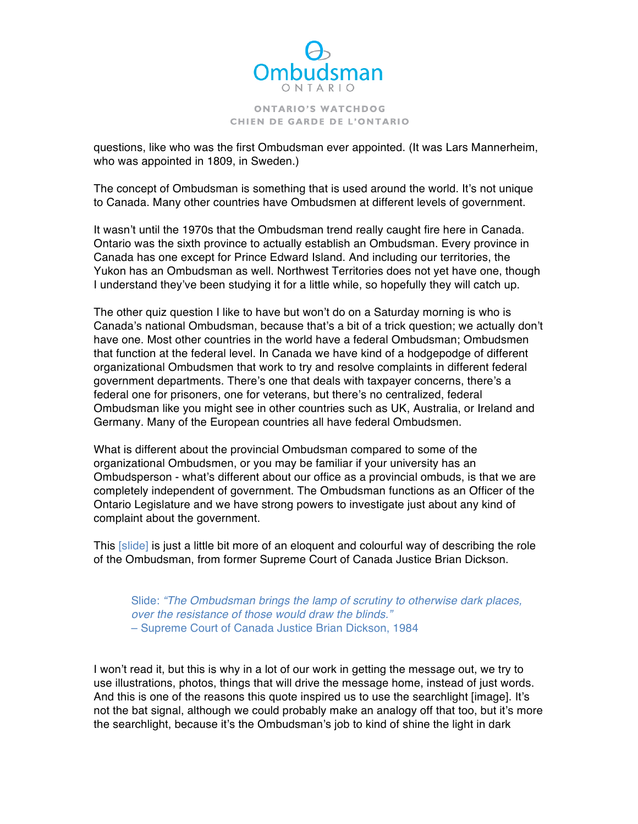

 questions, like who was the first Ombudsman ever appointed. (It was Lars Mannerheim, who was appointed in 1809, in Sweden.)

 The concept of Ombudsman is something that is used around the world. It's not unique to Canada. Many other countries have Ombudsmen at different levels of government.

 It wasn't until the 1970s that the Ombudsman trend really caught fire here in Canada. Ontario was the sixth province to actually establish an Ombudsman. Every province in Canada has one except for Prince Edward Island. And including our territories, the Yukon has an Ombudsman as well. Northwest Territories does not yet have one, though I understand they've been studying it for a little while, so hopefully they will catch up.

 The other quiz question I like to have but won't do on a Saturday morning is who is Canada's national Ombudsman, because that's a bit of a trick question; we actually don't have one. Most other countries in the world have a federal Ombudsman; Ombudsmen that function at the federal level. In Canada we have kind of a hodgepodge of different organizational Ombudsmen that work to try and resolve complaints in different federal government departments. There's one that deals with taxpayer concerns, there's a Ombudsman like you might see in other countries such as UK, Australia, or Ireland and federal one for prisoners, one for veterans, but there's no centralized, federal Germany. Many of the European countries all have federal Ombudsmen.

 What is different about the provincial Ombudsman compared to some of the organizational Ombudsmen, or you may be familiar if your university has an Ombudsperson - what's different about our office as a provincial ombuds, is that we are completely independent of government. The Ombudsman functions as an Officer of the Ontario Legislature and we have strong powers to investigate just about any kind of complaint about the government.

This [slide] is just a little bit more of an eloquent and colourful way of describing the role of the Ombudsman, from former Supreme Court of Canada Justice Brian Dickson.

 Slide: *"The Ombudsman brings the lamp of scrutiny to otherwise dark places, over the resistance of those would draw the blinds."*  – Supreme Court of Canada Justice Brian Dickson, 1984

 I won't read it, but this is why in a lot of our work in getting the message out, we try to use illustrations, photos, things that will drive the message home, instead of just words. And this is one of the reasons this quote inspired us to use the searchlight [image]. It's not the bat signal, although we could probably make an analogy off that too, but it's more the searchlight, because it's the Ombudsman's job to kind of shine the light in dark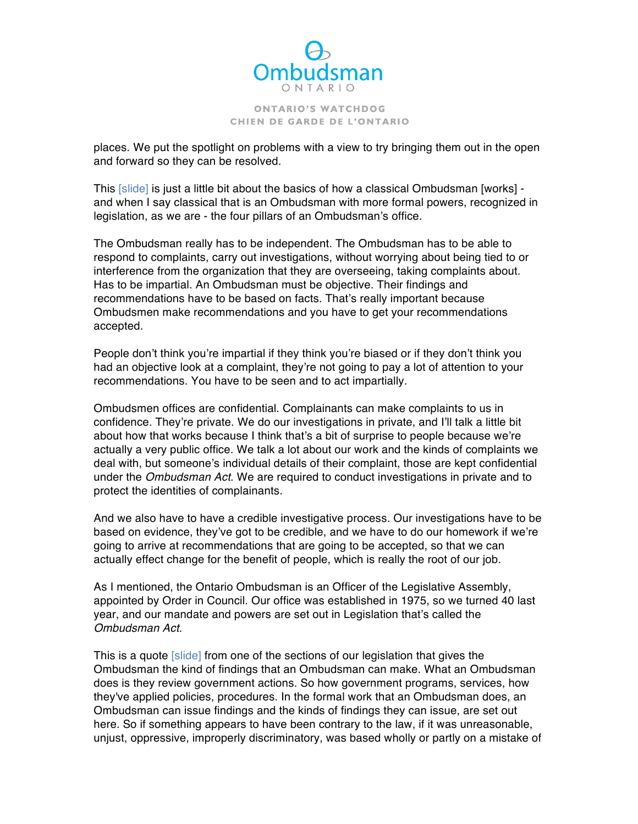

 places. We put the spotlight on problems with a view to try bringing them out in the open and forward so they can be resolved.

This [slide] is just a little bit about the basics of how a classical Ombudsman [works] - and when I say classical that is an Ombudsman with more formal powers, recognized in legislation, as we are - the four pillars of an Ombudsman's office.

 The Ombudsman really has to be independent. The Ombudsman has to be able to respond to complaints, carry out investigations, without worrying about being tied to or interference from the organization that they are overseeing, taking complaints about. Has to be impartial. An Ombudsman must be objective. Their findings and recommendations have to be based on facts. That's really important because Ombudsmen make recommendations and you have to get your recommendations accepted.

 People don't think you're impartial if they think you're biased or if they don't think you had an objective look at a complaint, they're not going to pay a lot of attention to your recommendations. You have to be seen and to act impartially.

 Ombudsmen offices are confidential. Complainants can make complaints to us in confidence. They're private. We do our investigations in private, and I'll talk a little bit about how that works because I think that's a bit of surprise to people because we're actually a very public office. We talk a lot about our work and the kinds of complaints we deal with, but someone's individual details of their complaint, those are kept confidential under the *Ombudsman Act*. We are required to conduct investigations in private and to protect the identities of complainants.

 And we also have to have a credible investigative process. Our investigations have to be based on evidence, they've got to be credible, and we have to do our homework if we're going to arrive at recommendations that are going to be accepted, so that we can actually effect change for the benefit of people, which is really the root of our job.

 As I mentioned, the Ontario Ombudsman is an Officer of the Legislative Assembly, appointed by Order in Council. Our office was established in 1975, so we turned 40 last year, and our mandate and powers are set out in Legislation that's called the *Ombudsman Act*.

This is a quote [slide] from one of the sections of our legislation that gives the Ombudsman the kind of findings that an Ombudsman can make. What an Ombudsman does is they review government actions. So how government programs, services, how they've applied policies, procedures. In the formal work that an Ombudsman does, an Ombudsman can issue findings and the kinds of findings they can issue, are set out here. So if something appears to have been contrary to the law, if it was unreasonable, unjust, oppressive, improperly discriminatory, was based wholly or partly on a mistake of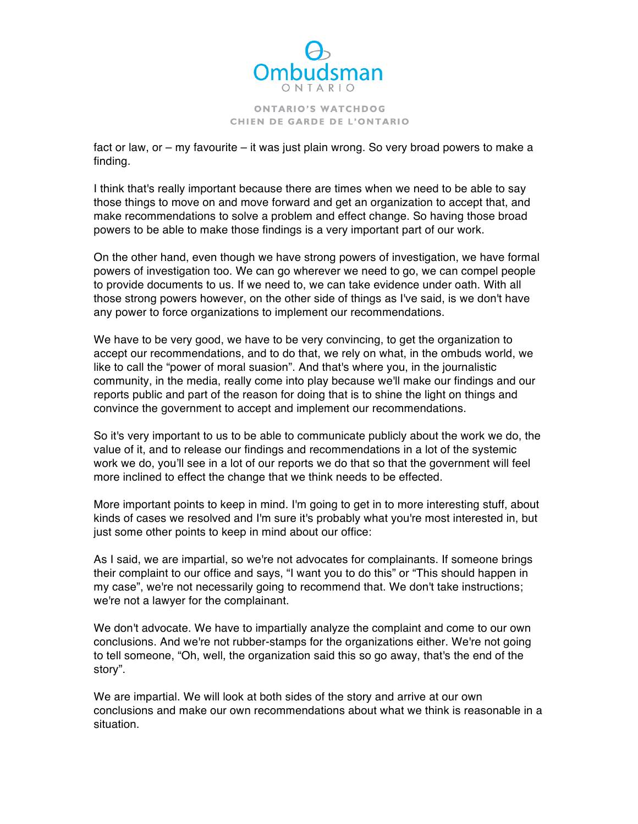

 fact or law, or – my favourite – it was just plain wrong. So very broad powers to make a finding.

 those things to move on and move forward and get an organization to accept that, and make recommendations to solve a problem and effect change. So having those broad powers to be able to make those findings is a very important part of our work. I think that's really important because there are times when we need to be able to say

 On the other hand, even though we have strong powers of investigation, we have formal powers of investigation too. We can go wherever we need to go, we can compel people to provide documents to us. If we need to, we can take evidence under oath. With all those strong powers however, on the other side of things as I've said, is we don't have any power to force organizations to implement our recommendations.

 We have to be very good, we have to be very convincing, to get the organization to accept our recommendations, and to do that, we rely on what, in the ombuds world, we like to call the "power of moral suasion". And that's where you, in the journalistic community, in the media, really come into play because we'll make our findings and our reports public and part of the reason for doing that is to shine the light on things and convince the government to accept and implement our recommendations.

 So it's very important to us to be able to communicate publicly about the work we do, the value of it, and to release our findings and recommendations in a lot of the systemic work we do, you'll see in a lot of our reports we do that so that the government will feel more inclined to effect the change that we think needs to be effected.

 More important points to keep in mind. I'm going to get in to more interesting stuff, about kinds of cases we resolved and I'm sure it's probably what you're most interested in, but just some other points to keep in mind about our office:

 As I said, we are impartial, so we're not advocates for complainants. If someone brings their complaint to our office and says, "I want you to do this" or "This should happen in my case", we're not necessarily going to recommend that. We don't take instructions; we're not a lawyer for the complainant.

 We don't advocate. We have to impartially analyze the complaint and come to our own conclusions. And we're not rubber-stamps for the organizations either. We're not going to tell someone, "Oh, well, the organization said this so go away, that's the end of the story".

 We are impartial. We will look at both sides of the story and arrive at our own conclusions and make our own recommendations about what we think is reasonable in a situation.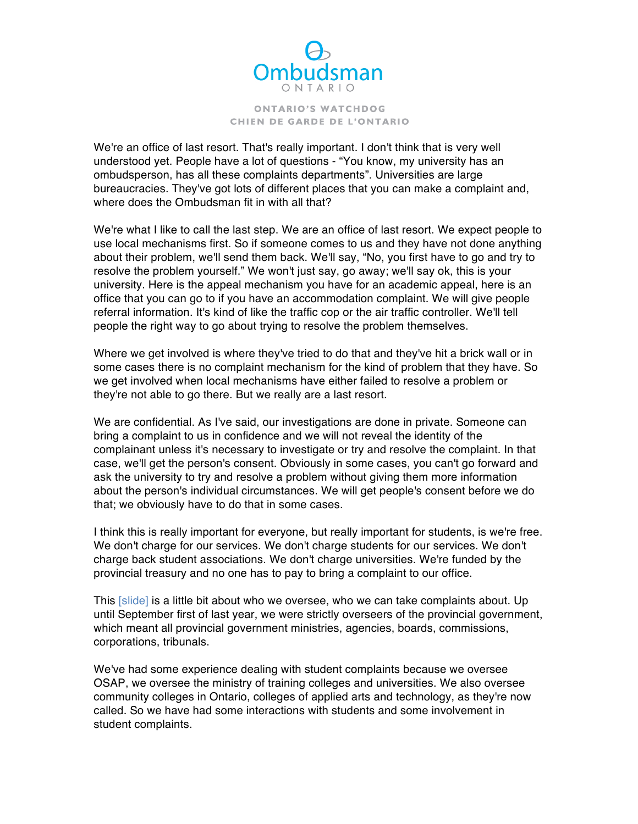

 We're an office of last resort. That's really important. I don't think that is very well understood yet. People have a lot of questions - "You know, my university has an ombudsperson, has all these complaints departments". Universities are large bureaucracies. They've got lots of different places that you can make a complaint and, where does the Ombudsman fit in with all that?

 We're what I like to call the last step. We are an office of last resort. We expect people to use local mechanisms first. So if someone comes to us and they have not done anything about their problem, we'll send them back. We'll say, "No, you first have to go and try to resolve the problem yourself." We won't just say, go away; we'll say ok, this is your university. Here is the appeal mechanism you have for an academic appeal, here is an office that you can go to if you have an accommodation complaint. We will give people referral information. It's kind of like the traffic cop or the air traffic controller. We'll tell people the right way to go about trying to resolve the problem themselves.

 Where we get involved is where they've tried to do that and they've hit a brick wall or in some cases there is no complaint mechanism for the kind of problem that they have. So we get involved when local mechanisms have either failed to resolve a problem or they're not able to go there. But we really are a last resort.

 We are confidential. As I've said, our investigations are done in private. Someone can bring a complaint to us in confidence and we will not reveal the identity of the complainant unless it's necessary to investigate or try and resolve the complaint. In that case, we'll get the person's consent. Obviously in some cases, you can't go forward and ask the university to try and resolve a problem without giving them more information about the person's individual circumstances. We will get people's consent before we do that; we obviously have to do that in some cases.

 I think this is really important for everyone, but really important for students, is we're free. We don't charge for our services. We don't charge students for our services. We don't charge back student associations. We don't charge universities. We're funded by the provincial treasury and no one has to pay to bring a complaint to our office.

This [slide] is a little bit about who we oversee, who we can take complaints about. Up until September first of last year, we were strictly overseers of the provincial government, which meant all provincial government ministries, agencies, boards, commissions, corporations, tribunals.

 We've had some experience dealing with student complaints because we oversee OSAP, we oversee the ministry of training colleges and universities. We also oversee community colleges in Ontario, colleges of applied arts and technology, as they're now called. So we have had some interactions with students and some involvement in student complaints.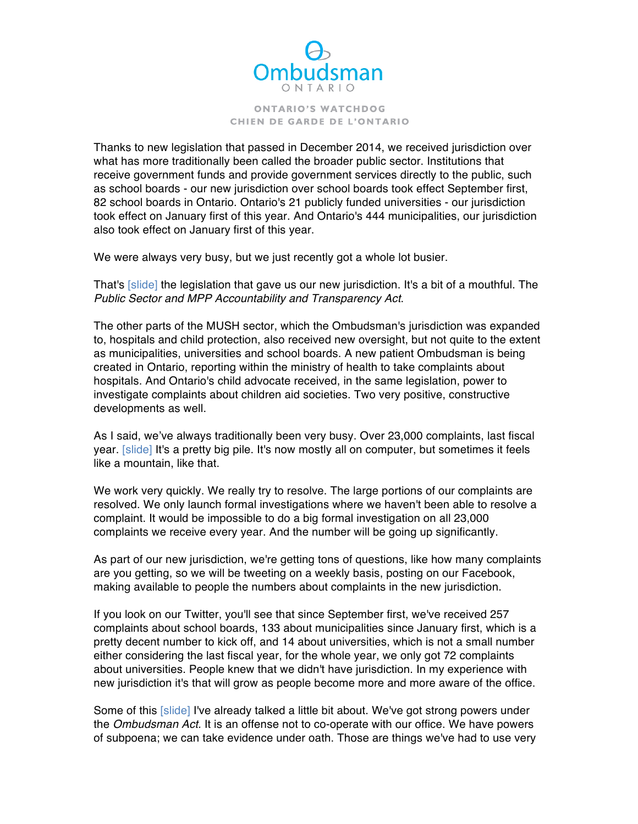

 Thanks to new legislation that passed in December 2014, we received jurisdiction over what has more traditionally been called the broader public sector. Institutions that receive government funds and provide government services directly to the public, such as school boards - our new jurisdiction over school boards took effect September first, 82 school boards in Ontario. Ontario's 21 publicly funded universities - our jurisdiction took effect on January first of this year. And Ontario's 444 municipalities, our jurisdiction also took effect on January first of this year.

We were always very busy, but we just recently got a whole lot busier.

That's [slide] the legislation that gave us our new jurisdiction. It's a bit of a mouthful. The  *Public Sector and MPP Accountability and Transparency Act*.

 The other parts of the MUSH sector, which the Ombudsman's jurisdiction was expanded to, hospitals and child protection, also received new oversight, but not quite to the extent as municipalities, universities and school boards. A new patient Ombudsman is being created in Ontario, reporting within the ministry of health to take complaints about hospitals. And Ontario's child advocate received, in the same legislation, power to investigate complaints about children aid societies. Two very positive, constructive developments as well.

 As I said, we've always traditionally been very busy. Over 23,000 complaints, last fiscal like a mountain, like that. year. [slide] It's a pretty big pile. It's now mostly all on computer, but sometimes it feels

 We work very quickly. We really try to resolve. The large portions of our complaints are resolved. We only launch formal investigations where we haven't been able to resolve a complaint. It would be impossible to do a big formal investigation on all 23,000 complaints we receive every year. And the number will be going up significantly.

 As part of our new jurisdiction, we're getting tons of questions, like how many complaints are you getting, so we will be tweeting on a weekly basis, posting on our Facebook, making available to people the numbers about complaints in the new jurisdiction.

 complaints about school boards, 133 about municipalities since January first, which is a pretty decent number to kick off, and 14 about universities, which is not a small number either considering the last fiscal year, for the whole year, we only got 72 complaints about universities. People knew that we didn't have jurisdiction. In my experience with new jurisdiction it's that will grow as people become more and more aware of the office. If you look on our Twitter, you'll see that since September first, we've received 257

Some of this [slide] I've already talked a little bit about. We've got strong powers under the *Ombudsman Act.* It is an offense not to co-operate with our office. We have powers of subpoena; we can take evidence under oath. Those are things we've had to use very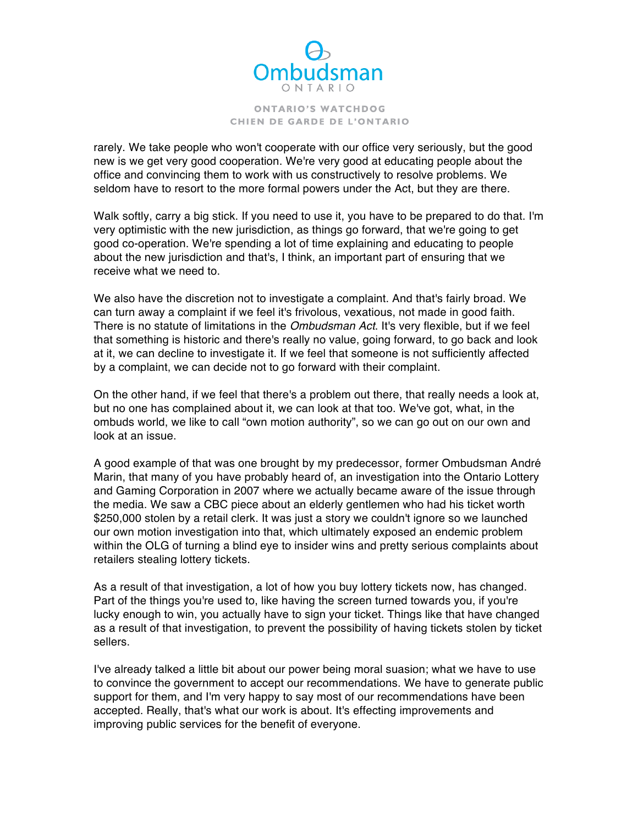

 rarely. We take people who won't cooperate with our office very seriously, but the good new is we get very good cooperation. We're very good at educating people about the office and convincing them to work with us constructively to resolve problems. We seldom have to resort to the more formal powers under the Act, but they are there.

 Walk softly, carry a big stick. If you need to use it, you have to be prepared to do that. I'm very optimistic with the new jurisdiction, as things go forward, that we're going to get good co-operation. We're spending a lot of time explaining and educating to people about the new jurisdiction and that's, I think, an important part of ensuring that we receive what we need to.

 We also have the discretion not to investigate a complaint. And that's fairly broad. We can turn away a complaint if we feel it's frivolous, vexatious, not made in good faith. There is no statute of limitations in the *Ombudsman Act*. It's very flexible, but if we feel that something is historic and there's really no value, going forward, to go back and look at it, we can decline to investigate it. If we feel that someone is not sufficiently affected by a complaint, we can decide not to go forward with their complaint.

 On the other hand, if we feel that there's a problem out there, that really needs a look at, but no one has complained about it, we can look at that too. We've got, what, in the ombuds world, we like to call "own motion authority", so we can go out on our own and look at an issue.

 A good example of that was one brought by my predecessor, former Ombudsman André Marin, that many of you have probably heard of, an investigation into the Ontario Lottery and Gaming Corporation in 2007 where we actually became aware of the issue through the media. We saw a CBC piece about an elderly gentlemen who had his ticket worth \$250,000 stolen by a retail clerk. It was just a story we couldn't ignore so we launched our own motion investigation into that, which ultimately exposed an endemic problem within the OLG of turning a blind eye to insider wins and pretty serious complaints about retailers stealing lottery tickets.

 As a result of that investigation, a lot of how you buy lottery tickets now, has changed. Part of the things you're used to, like having the screen turned towards you, if you're lucky enough to win, you actually have to sign your ticket. Things like that have changed as a result of that investigation, to prevent the possibility of having tickets stolen by ticket sellers.

 I've already talked a little bit about our power being moral suasion; what we have to use to convince the government to accept our recommendations. We have to generate public support for them, and I'm very happy to say most of our recommendations have been accepted. Really, that's what our work is about. It's effecting improvements and improving public services for the benefit of everyone.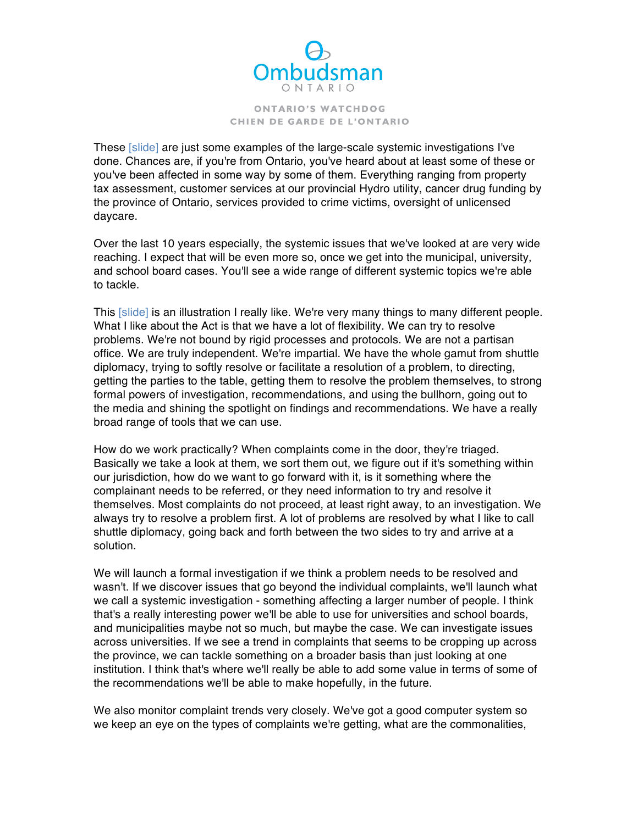

These [slide] are just some examples of the large-scale systemic investigations I've done. Chances are, if you're from Ontario, you've heard about at least some of these or you've been affected in some way by some of them. Everything ranging from property tax assessment, customer services at our provincial Hydro utility, cancer drug funding by the province of Ontario, services provided to crime victims, oversight of unlicensed daycare.

 Over the last 10 years especially, the systemic issues that we've looked at are very wide reaching. I expect that will be even more so, once we get into the municipal, university, and school board cases. You'll see a wide range of different systemic topics we're able to tackle.

This [slide] is an illustration I really like. We're very many things to many different people. What I like about the Act is that we have a lot of flexibility. We can try to resolve problems. We're not bound by rigid processes and protocols. We are not a partisan office. We are truly independent. We're impartial. We have the whole gamut from shuttle diplomacy, trying to softly resolve or facilitate a resolution of a problem, to directing, getting the parties to the table, getting them to resolve the problem themselves, to strong formal powers of investigation, recommendations, and using the bullhorn, going out to the media and shining the spotlight on findings and recommendations. We have a really broad range of tools that we can use.

 How do we work practically? When complaints come in the door, they're triaged. Basically we take a look at them, we sort them out, we figure out if it's something within our jurisdiction, how do we want to go forward with it, is it something where the complainant needs to be referred, or they need information to try and resolve it themselves. Most complaints do not proceed, at least right away, to an investigation. We always try to resolve a problem first. A lot of problems are resolved by what I like to call shuttle diplomacy, going back and forth between the two sides to try and arrive at a solution.

 We will launch a formal investigation if we think a problem needs to be resolved and wasn't. If we discover issues that go beyond the individual complaints, we'll launch what we call a systemic investigation - something affecting a larger number of people. I think that's a really interesting power we'll be able to use for universities and school boards, and municipalities maybe not so much, but maybe the case. We can investigate issues across universities. If we see a trend in complaints that seems to be cropping up across the province, we can tackle something on a broader basis than just looking at one institution. I think that's where we'll really be able to add some value in terms of some of the recommendations we'll be able to make hopefully, in the future.

 We also monitor complaint trends very closely. We've got a good computer system so we keep an eye on the types of complaints we're getting, what are the commonalities,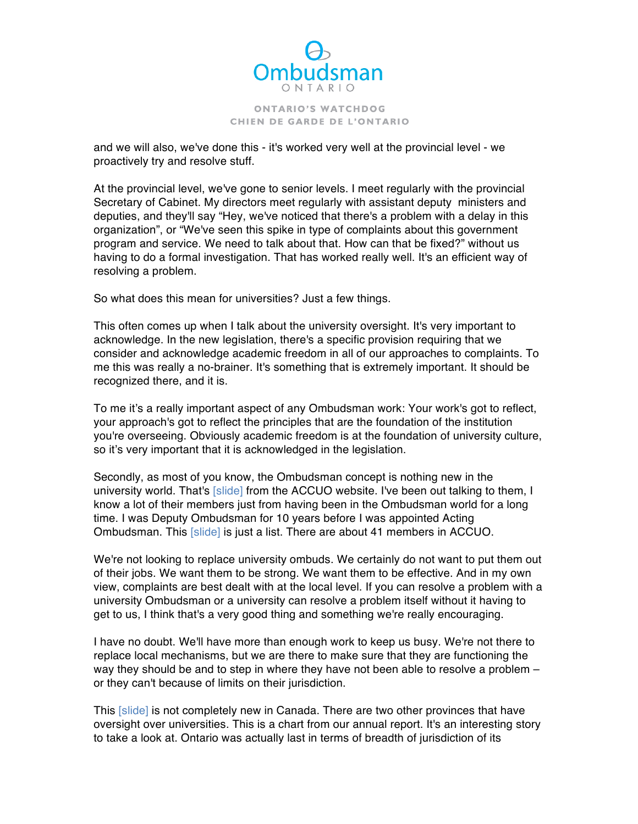

 and we will also, we've done this - it's worked very well at the provincial level - we proactively try and resolve stuff.

 At the provincial level, we've gone to senior levels. I meet regularly with the provincial Secretary of Cabinet. My directors meet regularly with assistant deputy ministers and deputies, and they'll say "Hey, we've noticed that there's a problem with a delay in this organization", or "We've seen this spike in type of complaints about this government program and service. We need to talk about that. How can that be fixed?" without us having to do a formal investigation. That has worked really well. It's an efficient way of resolving a problem.

So what does this mean for universities? Just a few things.

 This often comes up when I talk about the university oversight. It's very important to acknowledge. In the new legislation, there's a specific provision requiring that we consider and acknowledge academic freedom in all of our approaches to complaints. To me this was really a no-brainer. It's something that is extremely important. It should be recognized there, and it is.

 To me it's a really important aspect of any Ombudsman work: Your work's got to reflect, your approach's got to reflect the principles that are the foundation of the institution you're overseeing. Obviously academic freedom is at the foundation of university culture, so it's very important that it is acknowledged in the legislation.

 Secondly, as most of you know, the Ombudsman concept is nothing new in the university world. That's [slide] from the ACCUO website. I've been out talking to them, I know a lot of their members just from having been in the Ombudsman world for a long time. I was Deputy Ombudsman for 10 years before I was appointed Acting Ombudsman. This [slide] is just a list. There are about 41 members in ACCUO.

 We're not looking to replace university ombuds. We certainly do not want to put them out of their jobs. We want them to be strong. We want them to be effective. And in my own view, complaints are best dealt with at the local level. If you can resolve a problem with a university Ombudsman or a university can resolve a problem itself without it having to get to us, I think that's a very good thing and something we're really encouraging.

 replace local mechanisms, but we are there to make sure that they are functioning the way they should be and to step in where they have not been able to resolve a problem – or they can't because of limits on their jurisdiction. I have no doubt. We'll have more than enough work to keep us busy. We're not there to

This [slide] is not completely new in Canada. There are two other provinces that have oversight over universities. This is a chart from our annual report. It's an interesting story to take a look at. Ontario was actually last in terms of breadth of jurisdiction of its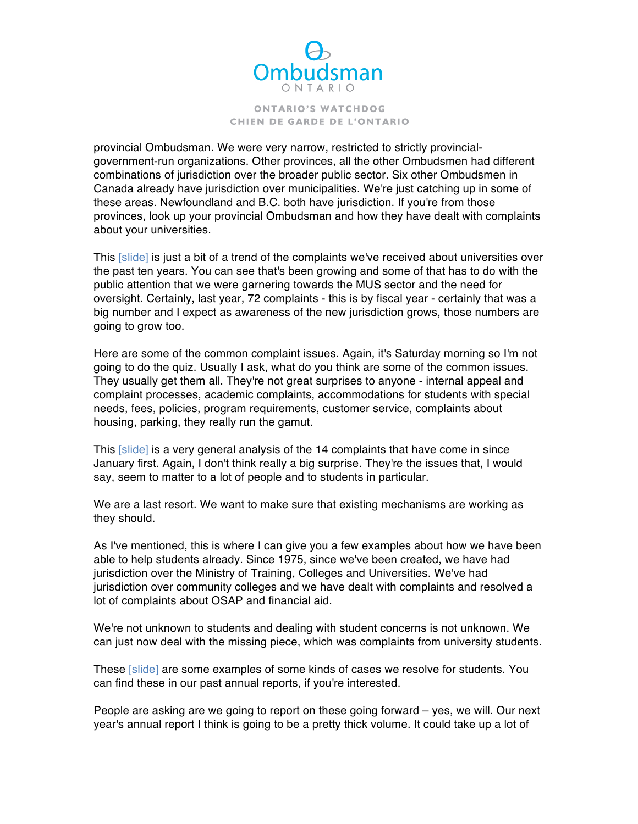

 provincial Ombudsman. We were very narrow, restricted to strictly provincial- government-run organizations. Other provinces, all the other Ombudsmen had different combinations of jurisdiction over the broader public sector. Six other Ombudsmen in Canada already have jurisdiction over municipalities. We're just catching up in some of these areas. Newfoundland and B.C. both have jurisdiction. If you're from those provinces, look up your provincial Ombudsman and how they have dealt with complaints about your universities.

This [slide] is just a bit of a trend of the complaints we've received about universities over the past ten years. You can see that's been growing and some of that has to do with the public attention that we were garnering towards the MUS sector and the need for oversight. Certainly, last year, 72 complaints - this is by fiscal year - certainly that was a big number and I expect as awareness of the new jurisdiction grows, those numbers are going to grow too.

 Here are some of the common complaint issues. Again, it's Saturday morning so I'm not going to do the quiz. Usually I ask, what do you think are some of the common issues. They usually get them all. They're not great surprises to anyone - internal appeal and needs, fees, policies, program requirements, customer service, complaints about housing, parking, they really run the gamut. complaint processes, academic complaints, accommodations for students with special

This [slide] is a very general analysis of the 14 complaints that have come in since January first. Again, I don't think really a big surprise. They're the issues that, I would say, seem to matter to a lot of people and to students in particular.

 We are a last resort. We want to make sure that existing mechanisms are working as they should.

 As I've mentioned, this is where I can give you a few examples about how we have been able to help students already. Since 1975, since we've been created, we have had jurisdiction over the Ministry of Training, Colleges and Universities. We've had jurisdiction over community colleges and we have dealt with complaints and resolved a lot of complaints about OSAP and financial aid.

 We're not unknown to students and dealing with student concerns is not unknown. We can just now deal with the missing piece, which was complaints from university students.

These [slide] are some examples of some kinds of cases we resolve for students. You can find these in our past annual reports, if you're interested.

 People are asking are we going to report on these going forward – yes, we will. Our next year's annual report I think is going to be a pretty thick volume. It could take up a lot of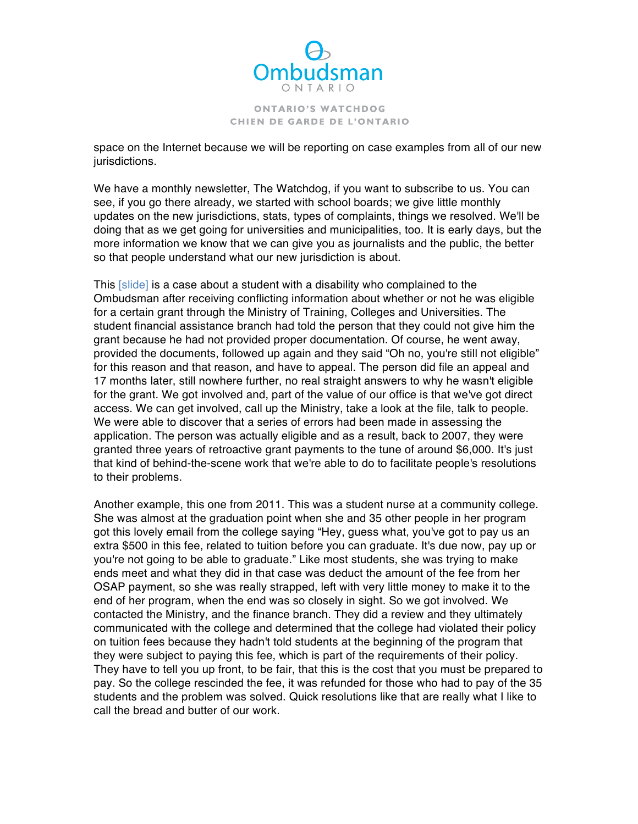

 space on the Internet because we will be reporting on case examples from all of our new jurisdictions.

 We have a monthly newsletter, The Watchdog, if you want to subscribe to us. You can see, if you go there already, we started with school boards; we give little monthly updates on the new jurisdictions, stats, types of complaints, things we resolved. We'll be doing that as we get going for universities and municipalities, too. It is early days, but the more information we know that we can give you as journalists and the public, the better so that people understand what our new jurisdiction is about.

This [slide] is a case about a student with a disability who complained to the Ombudsman after receiving conflicting information about whether or not he was eligible for a certain grant through the Ministry of Training, Colleges and Universities. The student financial assistance branch had told the person that they could not give him the grant because he had not provided proper documentation. Of course, he went away, provided the documents, followed up again and they said "Oh no, you're still not eligible" for this reason and that reason, and have to appeal. The person did file an appeal and 17 months later, still nowhere further, no real straight answers to why he wasn't eligible access. We can get involved, call up the Ministry, take a look at the file, talk to people. We were able to discover that a series of errors had been made in assessing the application. The person was actually eligible and as a result, back to 2007, they were granted three years of retroactive grant payments to the tune of around \$6,000. It's just that kind of behind-the-scene work that we're able to do to facilitate people's resolutions to their problems. for the grant. We got involved and, part of the value of our office is that we've got direct

 Another example, this one from 2011. This was a student nurse at a community college. She was almost at the graduation point when she and 35 other people in her program got this lovely email from the college saying "Hey, guess what, you've got to pay us an extra \$500 in this fee, related to tuition before you can graduate. It's due now, pay up or you're not going to be able to graduate." Like most students, she was trying to make ends meet and what they did in that case was deduct the amount of the fee from her OSAP payment, so she was really strapped, left with very little money to make it to the end of her program, when the end was so closely in sight. So we got involved. We contacted the Ministry, and the finance branch. They did a review and they ultimately communicated with the college and determined that the college had violated their policy on tuition fees because they hadn't told students at the beginning of the program that they were subject to paying this fee, which is part of the requirements of their policy. They have to tell you up front, to be fair, that this is the cost that you must be prepared to pay. So the college rescinded the fee, it was refunded for those who had to pay of the 35 students and the problem was solved. Quick resolutions like that are really what I like to call the bread and butter of our work.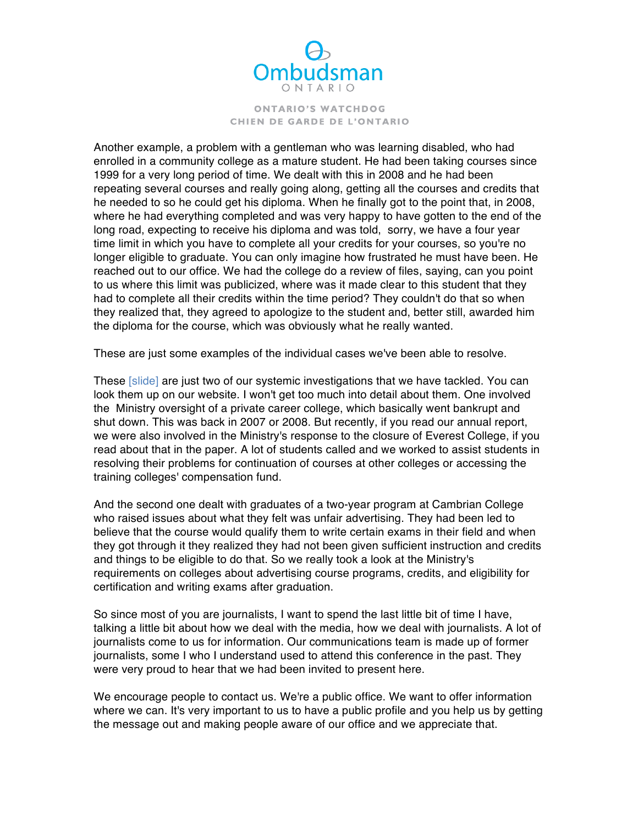

 Another example, a problem with a gentleman who was learning disabled, who had enrolled in a community college as a mature student. He had been taking courses since 1999 for a very long period of time. We dealt with this in 2008 and he had been repeating several courses and really going along, getting all the courses and credits that he needed to so he could get his diploma. When he finally got to the point that, in 2008, where he had everything completed and was very happy to have gotten to the end of the long road, expecting to receive his diploma and was told, sorry, we have a four year time limit in which you have to complete all your credits for your courses, so you're no longer eligible to graduate. You can only imagine how frustrated he must have been. He reached out to our office. We had the college do a review of files, saying, can you point to us where this limit was publicized, where was it made clear to this student that they had to complete all their credits within the time period? They couldn't do that so when they realized that, they agreed to apologize to the student and, better still, awarded him the diploma for the course, which was obviously what he really wanted.

These are just some examples of the individual cases we've been able to resolve.

These [slide] are just two of our systemic investigations that we have tackled. You can look them up on our website. I won't get too much into detail about them. One involved the Ministry oversight of a private career college, which basically went bankrupt and shut down. This was back in 2007 or 2008. But recently, if you read our annual report, we were also involved in the Ministry's response to the closure of Everest College, if you read about that in the paper. A lot of students called and we worked to assist students in resolving their problems for continuation of courses at other colleges or accessing the training colleges' compensation fund.

 And the second one dealt with graduates of a two-year program at Cambrian College who raised issues about what they felt was unfair advertising. They had been led to believe that the course would qualify them to write certain exams in their field and when they got through it they realized they had not been given sufficient instruction and credits and things to be eligible to do that. So we really took a look at the Ministry's requirements on colleges about advertising course programs, credits, and eligibility for certification and writing exams after graduation.

 So since most of you are journalists, I want to spend the last little bit of time I have, talking a little bit about how we deal with the media, how we deal with journalists. A lot of journalists come to us for information. Our communications team is made up of former journalists, some I who I understand used to attend this conference in the past. They were very proud to hear that we had been invited to present here.

 We encourage people to contact us. We're a public office. We want to offer information where we can. It's very important to us to have a public profile and you help us by getting the message out and making people aware of our office and we appreciate that.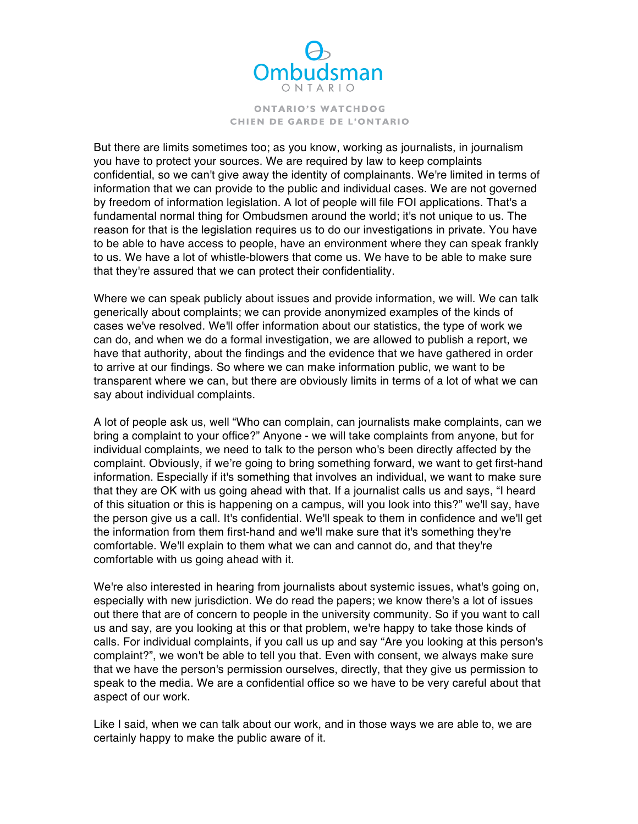

 But there are limits sometimes too; as you know, working as journalists, in journalism you have to protect your sources. We are required by law to keep complaints confidential, so we can't give away the identity of complainants. We're limited in terms of information that we can provide to the public and individual cases. We are not governed by freedom of information legislation. A lot of people will file FOI applications. That's a fundamental normal thing for Ombudsmen around the world; it's not unique to us. The reason for that is the legislation requires us to do our investigations in private. You have to be able to have access to people, have an environment where they can speak frankly to us. We have a lot of whistle-blowers that come us. We have to be able to make sure that they're assured that we can protect their confidentiality.

 Where we can speak publicly about issues and provide information, we will. We can talk generically about complaints; we can provide anonymized examples of the kinds of cases we've resolved. We'll offer information about our statistics, the type of work we can do, and when we do a formal investigation, we are allowed to publish a report, we have that authority, about the findings and the evidence that we have gathered in order to arrive at our findings. So where we can make information public, we want to be transparent where we can, but there are obviously limits in terms of a lot of what we can say about individual complaints.

 A lot of people ask us, well "Who can complain, can journalists make complaints, can we bring a complaint to your office?" Anyone - we will take complaints from anyone, but for individual complaints, we need to talk to the person who's been directly affected by the complaint. Obviously, if we're going to bring something forward, we want to get first-hand information. Especially if it's something that involves an individual, we want to make sure that they are OK with us going ahead with that. If a journalist calls us and says, "I heard of this situation or this is happening on a campus, will you look into this?" we'll say, have the person give us a call. It's confidential. We'll speak to them in confidence and we'll get the information from them first-hand and we'll make sure that it's something they're comfortable. We'll explain to them what we can and cannot do, and that they're comfortable with us going ahead with it.

 We're also interested in hearing from journalists about systemic issues, what's going on, especially with new jurisdiction. We do read the papers; we know there's a lot of issues out there that are of concern to people in the university community. So if you want to call us and say, are you looking at this or that problem, we're happy to take those kinds of calls. For individual complaints, if you call us up and say "Are you looking at this person's complaint?", we won't be able to tell you that. Even with consent, we always make sure that we have the person's permission ourselves, directly, that they give us permission to speak to the media. We are a confidential office so we have to be very careful about that aspect of our work.

 Like I said, when we can talk about our work, and in those ways we are able to, we are certainly happy to make the public aware of it.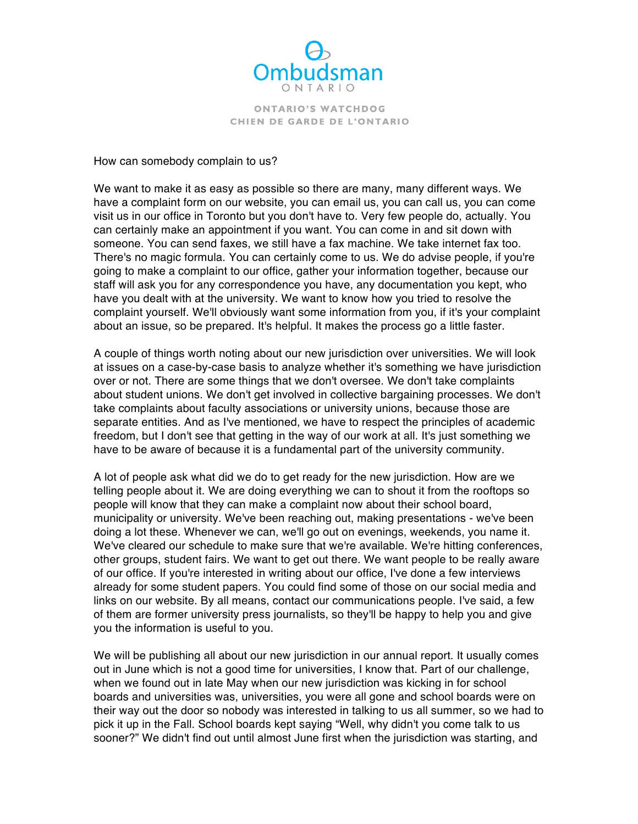

How can somebody complain to us?

 We want to make it as easy as possible so there are many, many different ways. We have a complaint form on our website, you can email us, you can call us, you can come visit us in our office in Toronto but you don't have to. Very few people do, actually. You can certainly make an appointment if you want. You can come in and sit down with someone. You can send faxes, we still have a fax machine. We take internet fax too. There's no magic formula. You can certainly come to us. We do advise people, if you're going to make a complaint to our office, gather your information together, because our staff will ask you for any correspondence you have, any documentation you kept, who have you dealt with at the university. We want to know how you tried to resolve the complaint yourself. We'll obviously want some information from you, if it's your complaint about an issue, so be prepared. It's helpful. It makes the process go a little faster.

 A couple of things worth noting about our new jurisdiction over universities. We will look at issues on a case-by-case basis to analyze whether it's something we have jurisdiction over or not. There are some things that we don't oversee. We don't take complaints about student unions. We don't get involved in collective bargaining processes. We don't take complaints about faculty associations or university unions, because those are separate entities. And as I've mentioned, we have to respect the principles of academic have to be aware of because it is a fundamental part of the university community. freedom, but I don't see that getting in the way of our work at all. It's just something we

 A lot of people ask what did we do to get ready for the new jurisdiction. How are we telling people about it. We are doing everything we can to shout it from the rooftops so people will know that they can make a complaint now about their school board, municipality or university. We've been reaching out, making presentations - we've been doing a lot these. Whenever we can, we'll go out on evenings, weekends, you name it. We've cleared our schedule to make sure that we're available. We're hitting conferences, other groups, student fairs. We want to get out there. We want people to be really aware of our office. If you're interested in writing about our office, I've done a few interviews already for some student papers. You could find some of those on our social media and links on our website. By all means, contact our communications people. I've said, a few of them are former university press journalists, so they'll be happy to help you and give you the information is useful to you.

 We will be publishing all about our new jurisdiction in our annual report. It usually comes out in June which is not a good time for universities, I know that. Part of our challenge, when we found out in late May when our new jurisdiction was kicking in for school boards and universities was, universities, you were all gone and school boards were on their way out the door so nobody was interested in talking to us all summer, so we had to pick it up in the Fall. School boards kept saying "Well, why didn't you come talk to us sooner?" We didn't find out until almost June first when the jurisdiction was starting, and